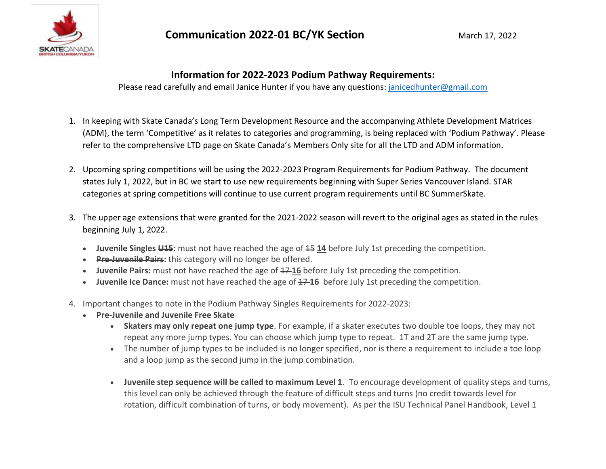

## **Information for 2022-2023 Podium Pathway Requirements:**

Please read carefully and email Janice Hunter if you have any questions: [janicedhunter@gmail.com](mailto:janicedhunter@gmail.com) 

- 1. In keeping with Skate Canada's Long Term Development Resource and the accompanying Athlete Development Matrices (ADM), the term 'Competitive' as it relates to categories and programming, is being replaced with 'Podium Pathway'. Please refer to the comprehensive LTD page on Skate Canada's Members Only site for all the LTD and ADM information.
- 2. Upcoming spring competitions will be using the 2022-2023 Program Requirements for Podium Pathway. The document states July 1, 2022, but in BC we start to use new requirements beginning with Super Series Vancouver Island. STAR categories at spring competitions will continue to use current program requirements until BC SummerSkate.
- 3. The upper age extensions that were granted for the 2021-2022 season will revert to the original ages as stated in the rules beginning July 1, 2022.
	- **Juvenile Singles U15:** must not have reached the age of 15 **14** before July 1st preceding the competition.
	- **Pre-Juvenile Pairs:** this category will no longer be offered.
	- Juvenile Pairs: must not have reached the age of  $17-16$  before July 1st preceding the competition.
	- **Juvenile Ice Dance:** must not have reached the age of  $\pm$  746 before July 1st preceding the competition.
- 4. Important changes to note in the Podium Pathway Singles Requirements for 2022-2023:
	- **Pre-Juvenile and Juvenile Free Skate**
		- **Skaters may only repeat one jump type**. For example, if a skater executes two double toe loops, they may not repeat any more jump types. You can choose which jump type to repeat. 1T and 2T are the same jump type.
		- The number of jump types to be included is no longer specified, nor is there a requirement to include a toe loop and a loop jump as the second jump in the jump combination.
		- **Juvenile step sequence will be called to maximum Level 1**. To encourage development of quality steps and turns, this level can only be achieved through the feature of difficult steps and turns (no credit towards level for rotation, difficult combination of turns, or body movement). As per the ISU Technical Panel Handbook, Level 1